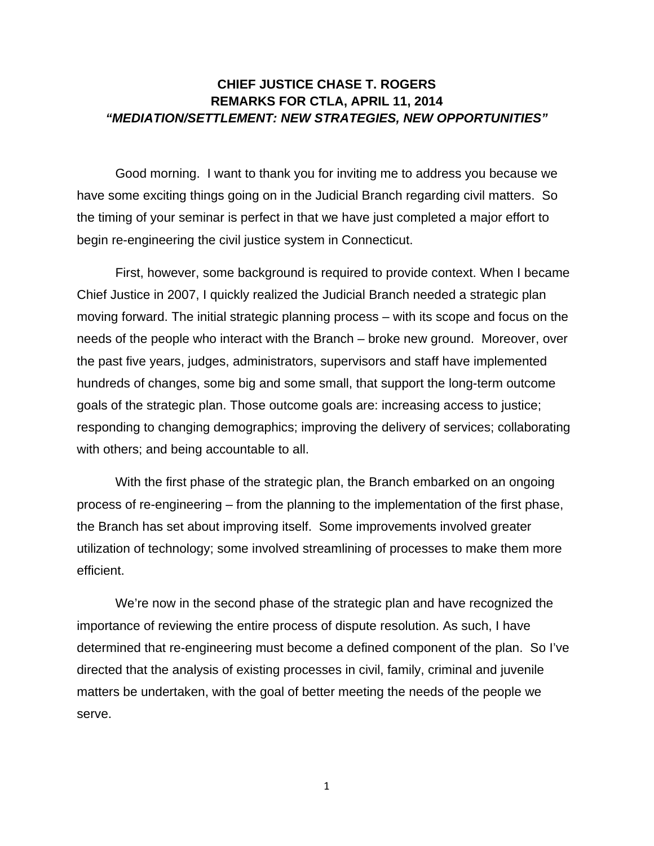## **CHIEF JUSTICE CHASE T. ROGERS REMARKS FOR CTLA, APRIL 11, 2014**  *"MEDIATION/SETTLEMENT: NEW STRATEGIES, NEW OPPORTUNITIES"*

Good morning. I want to thank you for inviting me to address you because we have some exciting things going on in the Judicial Branch regarding civil matters. So the timing of your seminar is perfect in that we have just completed a major effort to begin re-engineering the civil justice system in Connecticut.

First, however, some background is required to provide context. When I became Chief Justice in 2007, I quickly realized the Judicial Branch needed a strategic plan moving forward. The initial strategic planning process – with its scope and focus on the needs of the people who interact with the Branch – broke new ground. Moreover, over the past five years, judges, administrators, supervisors and staff have implemented hundreds of changes, some big and some small, that support the long-term outcome goals of the strategic plan. Those outcome goals are: increasing access to justice; responding to changing demographics; improving the delivery of services; collaborating with others; and being accountable to all.

With the first phase of the strategic plan, the Branch embarked on an ongoing process of re-engineering – from the planning to the implementation of the first phase, the Branch has set about improving itself. Some improvements involved greater utilization of technology; some involved streamlining of processes to make them more efficient.

We're now in the second phase of the strategic plan and have recognized the importance of reviewing the entire process of dispute resolution. As such, I have determined that re-engineering must become a defined component of the plan. So I've directed that the analysis of existing processes in civil, family, criminal and juvenile matters be undertaken, with the goal of better meeting the needs of the people we serve.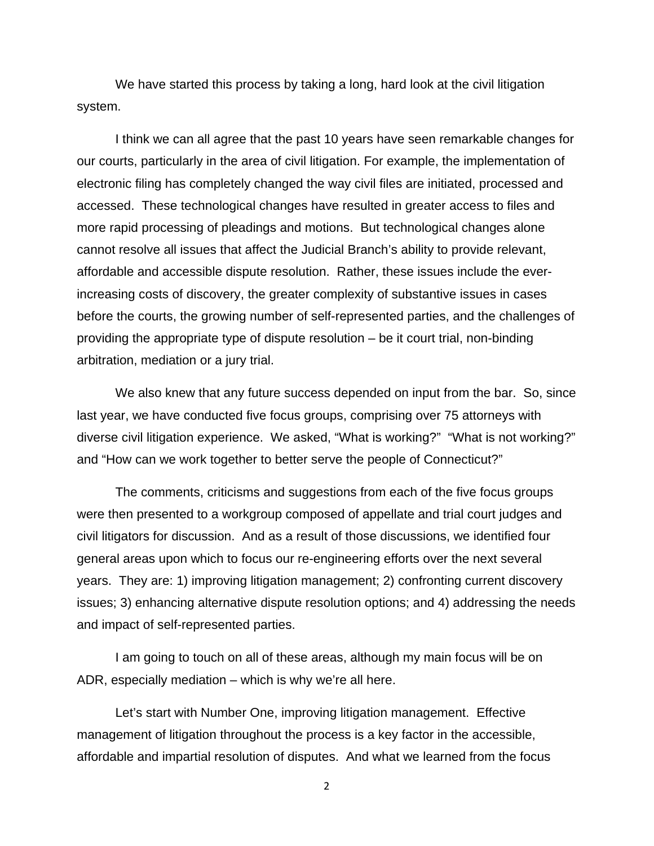We have started this process by taking a long, hard look at the civil litigation system.

I think we can all agree that the past 10 years have seen remarkable changes for our courts, particularly in the area of civil litigation. For example, the implementation of electronic filing has completely changed the way civil files are initiated, processed and accessed. These technological changes have resulted in greater access to files and more rapid processing of pleadings and motions. But technological changes alone cannot resolve all issues that affect the Judicial Branch's ability to provide relevant, affordable and accessible dispute resolution. Rather, these issues include the everincreasing costs of discovery, the greater complexity of substantive issues in cases before the courts, the growing number of self-represented parties, and the challenges of providing the appropriate type of dispute resolution – be it court trial, non-binding arbitration, mediation or a jury trial.

We also knew that any future success depended on input from the bar. So, since last year, we have conducted five focus groups, comprising over 75 attorneys with diverse civil litigation experience. We asked, "What is working?" "What is not working?" and "How can we work together to better serve the people of Connecticut?"

The comments, criticisms and suggestions from each of the five focus groups were then presented to a workgroup composed of appellate and trial court judges and civil litigators for discussion. And as a result of those discussions, we identified four general areas upon which to focus our re-engineering efforts over the next several years. They are: 1) improving litigation management; 2) confronting current discovery issues; 3) enhancing alternative dispute resolution options; and 4) addressing the needs and impact of self-represented parties.

I am going to touch on all of these areas, although my main focus will be on ADR, especially mediation – which is why we're all here.

Let's start with Number One, improving litigation management. Effective management of litigation throughout the process is a key factor in the accessible, affordable and impartial resolution of disputes. And what we learned from the focus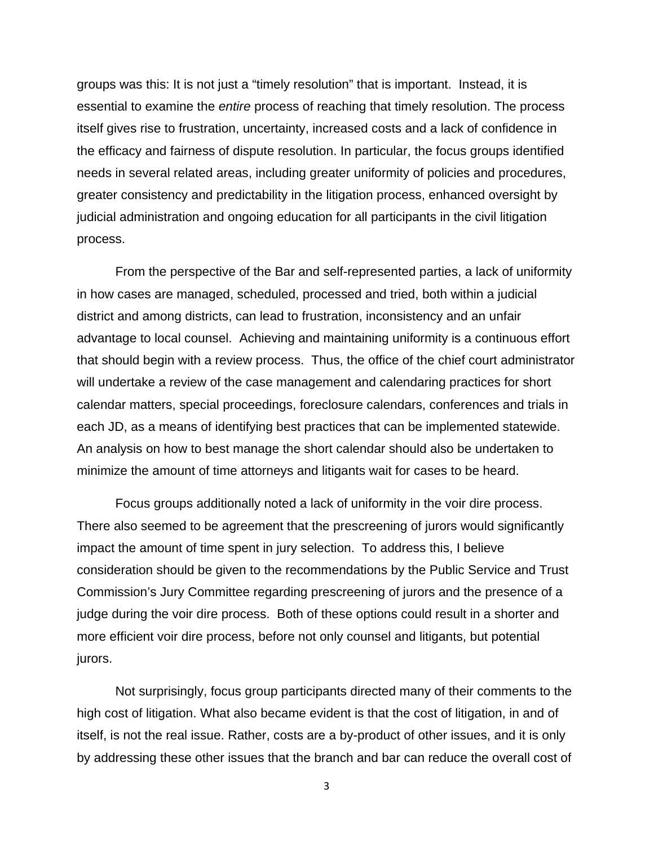groups was this: It is not just a "timely resolution" that is important. Instead, it is essential to examine the *entire* process of reaching that timely resolution. The process itself gives rise to frustration, uncertainty, increased costs and a lack of confidence in the efficacy and fairness of dispute resolution. In particular, the focus groups identified needs in several related areas, including greater uniformity of policies and procedures, greater consistency and predictability in the litigation process, enhanced oversight by judicial administration and ongoing education for all participants in the civil litigation process.

From the perspective of the Bar and self-represented parties, a lack of uniformity in how cases are managed, scheduled, processed and tried, both within a judicial district and among districts, can lead to frustration, inconsistency and an unfair advantage to local counsel. Achieving and maintaining uniformity is a continuous effort that should begin with a review process. Thus, the office of the chief court administrator will undertake a review of the case management and calendaring practices for short calendar matters, special proceedings, foreclosure calendars, conferences and trials in each JD, as a means of identifying best practices that can be implemented statewide. An analysis on how to best manage the short calendar should also be undertaken to minimize the amount of time attorneys and litigants wait for cases to be heard.

Focus groups additionally noted a lack of uniformity in the voir dire process. There also seemed to be agreement that the prescreening of jurors would significantly impact the amount of time spent in jury selection. To address this, I believe consideration should be given to the recommendations by the Public Service and Trust Commission's Jury Committee regarding prescreening of jurors and the presence of a judge during the voir dire process. Both of these options could result in a shorter and more efficient voir dire process, before not only counsel and litigants, but potential jurors.

Not surprisingly, focus group participants directed many of their comments to the high cost of litigation. What also became evident is that the cost of litigation, in and of itself, is not the real issue. Rather, costs are a by-product of other issues, and it is only by addressing these other issues that the branch and bar can reduce the overall cost of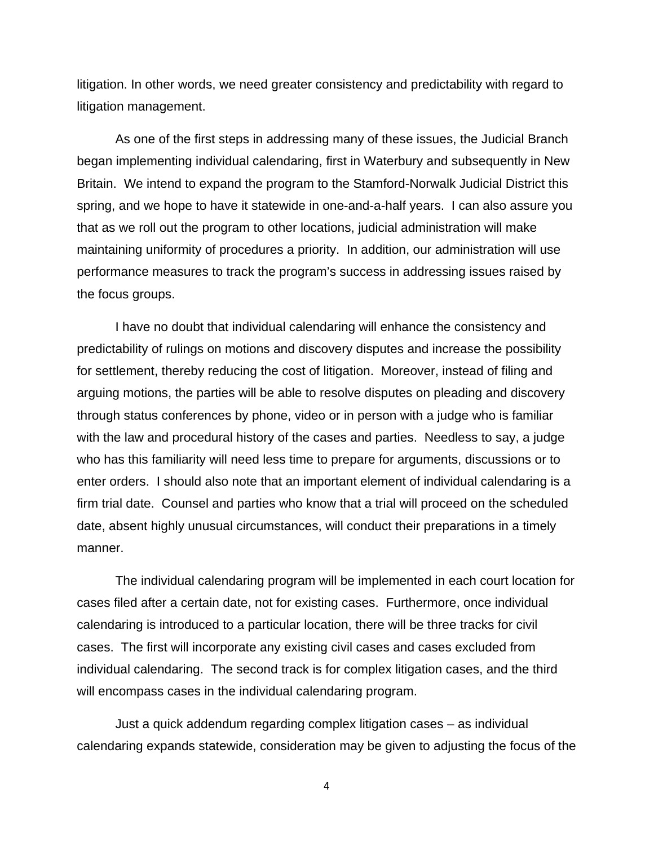litigation. In other words, we need greater consistency and predictability with regard to litigation management.

As one of the first steps in addressing many of these issues, the Judicial Branch began implementing individual calendaring, first in Waterbury and subsequently in New Britain. We intend to expand the program to the Stamford-Norwalk Judicial District this spring, and we hope to have it statewide in one-and-a-half years. I can also assure you that as we roll out the program to other locations, judicial administration will make maintaining uniformity of procedures a priority. In addition, our administration will use performance measures to track the program's success in addressing issues raised by the focus groups.

I have no doubt that individual calendaring will enhance the consistency and predictability of rulings on motions and discovery disputes and increase the possibility for settlement, thereby reducing the cost of litigation. Moreover, instead of filing and arguing motions, the parties will be able to resolve disputes on pleading and discovery through status conferences by phone, video or in person with a judge who is familiar with the law and procedural history of the cases and parties. Needless to say, a judge who has this familiarity will need less time to prepare for arguments, discussions or to enter orders. I should also note that an important element of individual calendaring is a firm trial date. Counsel and parties who know that a trial will proceed on the scheduled date, absent highly unusual circumstances, will conduct their preparations in a timely manner.

The individual calendaring program will be implemented in each court location for cases filed after a certain date, not for existing cases. Furthermore, once individual calendaring is introduced to a particular location, there will be three tracks for civil cases. The first will incorporate any existing civil cases and cases excluded from individual calendaring. The second track is for complex litigation cases, and the third will encompass cases in the individual calendaring program.

Just a quick addendum regarding complex litigation cases – as individual calendaring expands statewide, consideration may be given to adjusting the focus of the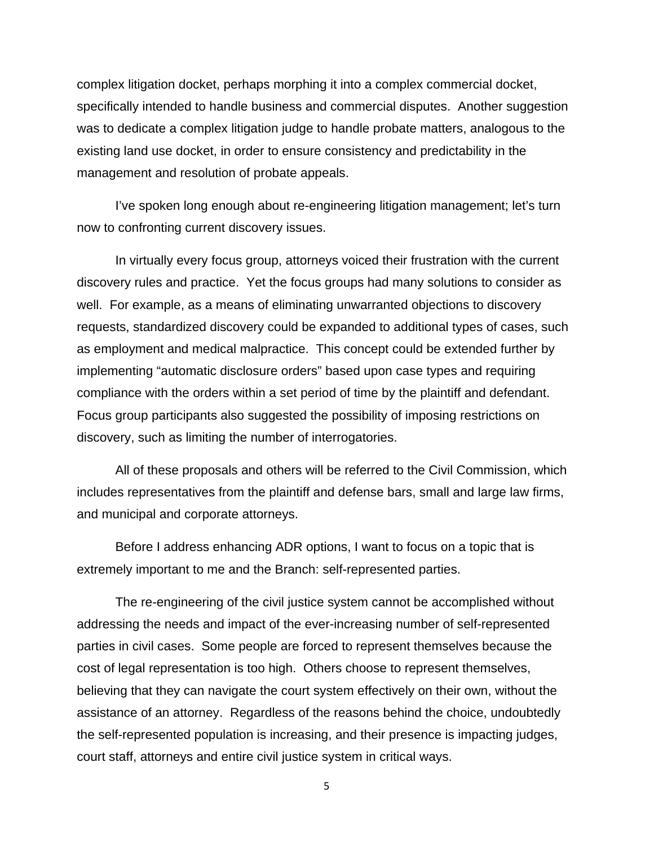complex litigation docket, perhaps morphing it into a complex commercial docket, specifically intended to handle business and commercial disputes. Another suggestion was to dedicate a complex litigation judge to handle probate matters, analogous to the existing land use docket, in order to ensure consistency and predictability in the management and resolution of probate appeals.

I've spoken long enough about re-engineering litigation management; let's turn now to confronting current discovery issues.

In virtually every focus group, attorneys voiced their frustration with the current discovery rules and practice. Yet the focus groups had many solutions to consider as well. For example, as a means of eliminating unwarranted objections to discovery requests, standardized discovery could be expanded to additional types of cases, such as employment and medical malpractice. This concept could be extended further by implementing "automatic disclosure orders" based upon case types and requiring compliance with the orders within a set period of time by the plaintiff and defendant. Focus group participants also suggested the possibility of imposing restrictions on discovery, such as limiting the number of interrogatories.

All of these proposals and others will be referred to the Civil Commission, which includes representatives from the plaintiff and defense bars, small and large law firms, and municipal and corporate attorneys.

Before I address enhancing ADR options, I want to focus on a topic that is extremely important to me and the Branch: self-represented parties.

The re-engineering of the civil justice system cannot be accomplished without addressing the needs and impact of the ever-increasing number of self-represented parties in civil cases. Some people are forced to represent themselves because the cost of legal representation is too high. Others choose to represent themselves, believing that they can navigate the court system effectively on their own, without the assistance of an attorney. Regardless of the reasons behind the choice, undoubtedly the self-represented population is increasing, and their presence is impacting judges, court staff, attorneys and entire civil justice system in critical ways.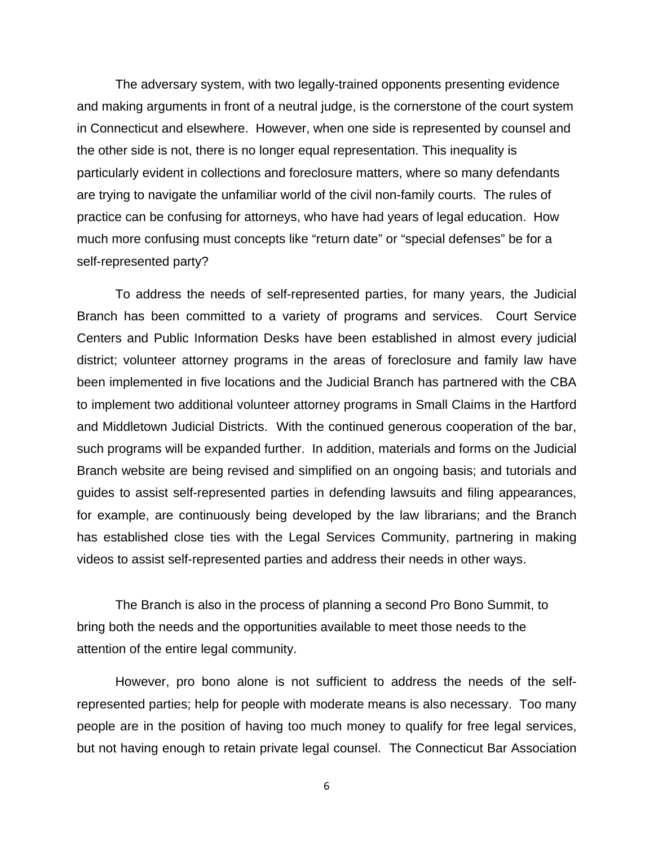The adversary system, with two legally-trained opponents presenting evidence and making arguments in front of a neutral judge, is the cornerstone of the court system in Connecticut and elsewhere. However, when one side is represented by counsel and the other side is not, there is no longer equal representation. This inequality is particularly evident in collections and foreclosure matters, where so many defendants are trying to navigate the unfamiliar world of the civil non-family courts. The rules of practice can be confusing for attorneys, who have had years of legal education. How much more confusing must concepts like "return date" or "special defenses" be for a self-represented party?

To address the needs of self-represented parties, for many years, the Judicial Branch has been committed to a variety of programs and services. Court Service Centers and Public Information Desks have been established in almost every judicial district; volunteer attorney programs in the areas of foreclosure and family law have been implemented in five locations and the Judicial Branch has partnered with the CBA to implement two additional volunteer attorney programs in Small Claims in the Hartford and Middletown Judicial Districts. With the continued generous cooperation of the bar, such programs will be expanded further. In addition, materials and forms on the Judicial Branch website are being revised and simplified on an ongoing basis; and tutorials and guides to assist self-represented parties in defending lawsuits and filing appearances, for example, are continuously being developed by the law librarians; and the Branch has established close ties with the Legal Services Community, partnering in making videos to assist self-represented parties and address their needs in other ways.

The Branch is also in the process of planning a second Pro Bono Summit, to bring both the needs and the opportunities available to meet those needs to the attention of the entire legal community.

However, pro bono alone is not sufficient to address the needs of the selfrepresented parties; help for people with moderate means is also necessary. Too many people are in the position of having too much money to qualify for free legal services, but not having enough to retain private legal counsel. The Connecticut Bar Association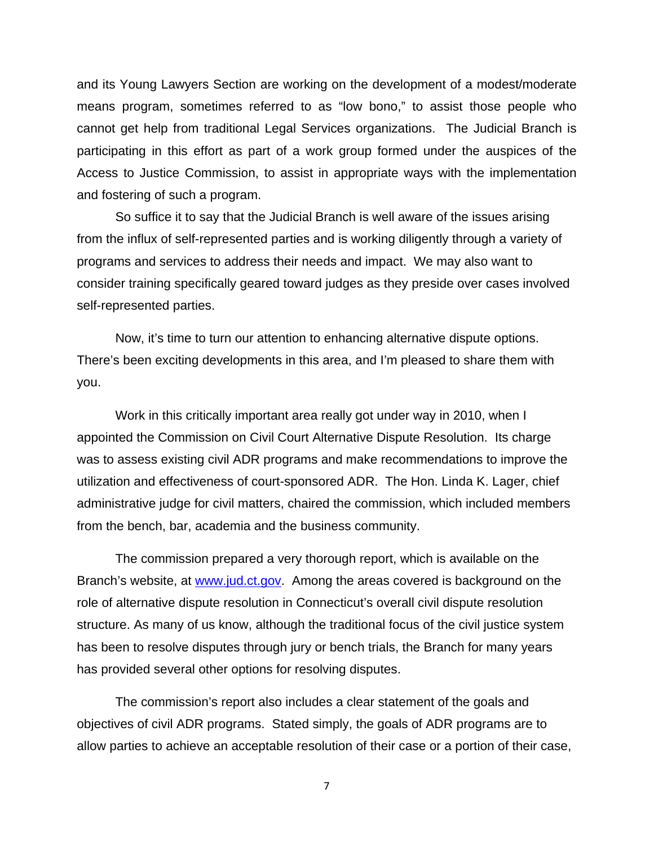and its Young Lawyers Section are working on the development of a modest/moderate means program, sometimes referred to as "low bono," to assist those people who cannot get help from traditional Legal Services organizations. The Judicial Branch is participating in this effort as part of a work group formed under the auspices of the Access to Justice Commission, to assist in appropriate ways with the implementation and fostering of such a program.

So suffice it to say that the Judicial Branch is well aware of the issues arising from the influx of self-represented parties and is working diligently through a variety of programs and services to address their needs and impact. We may also want to consider training specifically geared toward judges as they preside over cases involved self-represented parties.

Now, it's time to turn our attention to enhancing alternative dispute options. There's been exciting developments in this area, and I'm pleased to share them with you.

Work in this critically important area really got under way in 2010, when I appointed the Commission on Civil Court Alternative Dispute Resolution. Its charge was to assess existing civil ADR programs and make recommendations to improve the utilization and effectiveness of court-sponsored ADR. The Hon. Linda K. Lager, chief administrative judge for civil matters, chaired the commission, which included members from the bench, bar, academia and the business community.

The commission prepared a very thorough report, which is available on the Branch's website, at www.jud.ct.gov. Among the areas covered is background on the role of alternative dispute resolution in Connecticut's overall civil dispute resolution structure. As many of us know, although the traditional focus of the civil justice system has been to resolve disputes through jury or bench trials, the Branch for many years has provided several other options for resolving disputes.

The commission's report also includes a clear statement of the goals and objectives of civil ADR programs. Stated simply, the goals of ADR programs are to allow parties to achieve an acceptable resolution of their case or a portion of their case,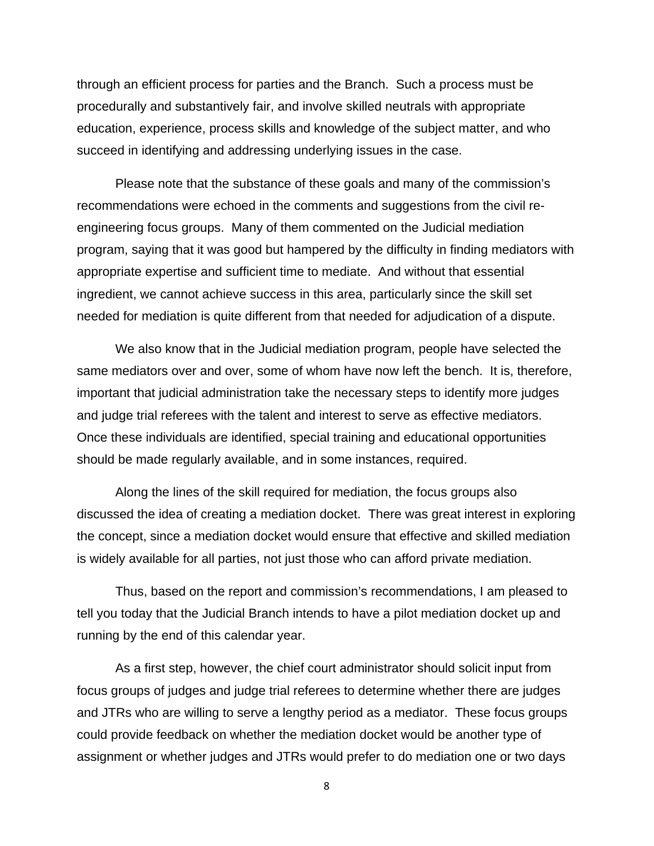through an efficient process for parties and the Branch. Such a process must be procedurally and substantively fair, and involve skilled neutrals with appropriate education, experience, process skills and knowledge of the subject matter, and who succeed in identifying and addressing underlying issues in the case.

Please note that the substance of these goals and many of the commission's recommendations were echoed in the comments and suggestions from the civil reengineering focus groups. Many of them commented on the Judicial mediation program, saying that it was good but hampered by the difficulty in finding mediators with appropriate expertise and sufficient time to mediate. And without that essential ingredient, we cannot achieve success in this area, particularly since the skill set needed for mediation is quite different from that needed for adjudication of a dispute.

We also know that in the Judicial mediation program, people have selected the same mediators over and over, some of whom have now left the bench. It is, therefore, important that judicial administration take the necessary steps to identify more judges and judge trial referees with the talent and interest to serve as effective mediators. Once these individuals are identified, special training and educational opportunities should be made regularly available, and in some instances, required.

Along the lines of the skill required for mediation, the focus groups also discussed the idea of creating a mediation docket. There was great interest in exploring the concept, since a mediation docket would ensure that effective and skilled mediation is widely available for all parties, not just those who can afford private mediation.

Thus, based on the report and commission's recommendations, I am pleased to tell you today that the Judicial Branch intends to have a pilot mediation docket up and running by the end of this calendar year.

As a first step, however, the chief court administrator should solicit input from focus groups of judges and judge trial referees to determine whether there are judges and JTRs who are willing to serve a lengthy period as a mediator. These focus groups could provide feedback on whether the mediation docket would be another type of assignment or whether judges and JTRs would prefer to do mediation one or two days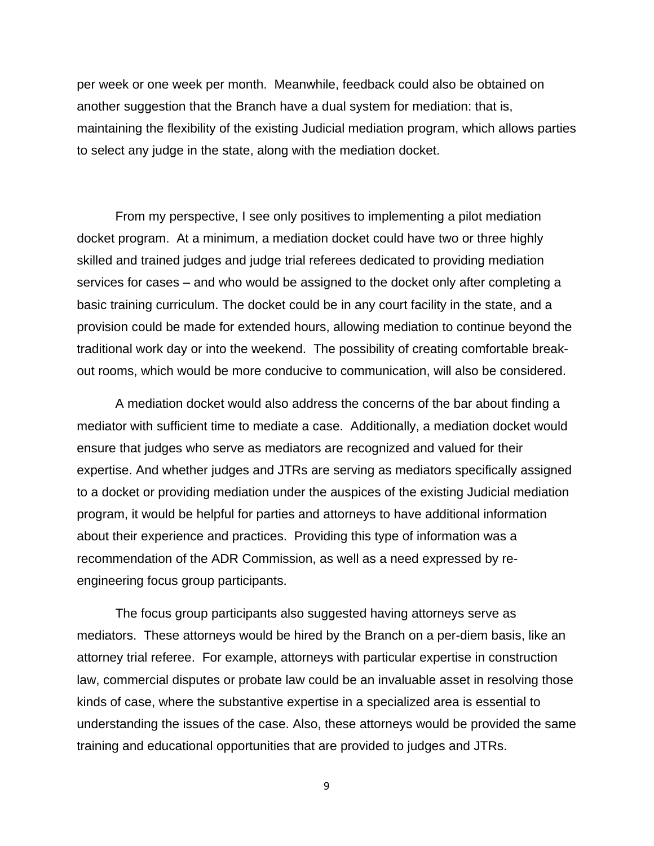per week or one week per month. Meanwhile, feedback could also be obtained on another suggestion that the Branch have a dual system for mediation: that is, maintaining the flexibility of the existing Judicial mediation program, which allows parties to select any judge in the state, along with the mediation docket.

From my perspective, I see only positives to implementing a pilot mediation docket program. At a minimum, a mediation docket could have two or three highly skilled and trained judges and judge trial referees dedicated to providing mediation services for cases – and who would be assigned to the docket only after completing a basic training curriculum. The docket could be in any court facility in the state, and a provision could be made for extended hours, allowing mediation to continue beyond the traditional work day or into the weekend. The possibility of creating comfortable breakout rooms, which would be more conducive to communication, will also be considered.

A mediation docket would also address the concerns of the bar about finding a mediator with sufficient time to mediate a case. Additionally, a mediation docket would ensure that judges who serve as mediators are recognized and valued for their expertise. And whether judges and JTRs are serving as mediators specifically assigned to a docket or providing mediation under the auspices of the existing Judicial mediation program, it would be helpful for parties and attorneys to have additional information about their experience and practices. Providing this type of information was a recommendation of the ADR Commission, as well as a need expressed by reengineering focus group participants.

The focus group participants also suggested having attorneys serve as mediators. These attorneys would be hired by the Branch on a per-diem basis, like an attorney trial referee. For example, attorneys with particular expertise in construction law, commercial disputes or probate law could be an invaluable asset in resolving those kinds of case, where the substantive expertise in a specialized area is essential to understanding the issues of the case. Also, these attorneys would be provided the same training and educational opportunities that are provided to judges and JTRs.